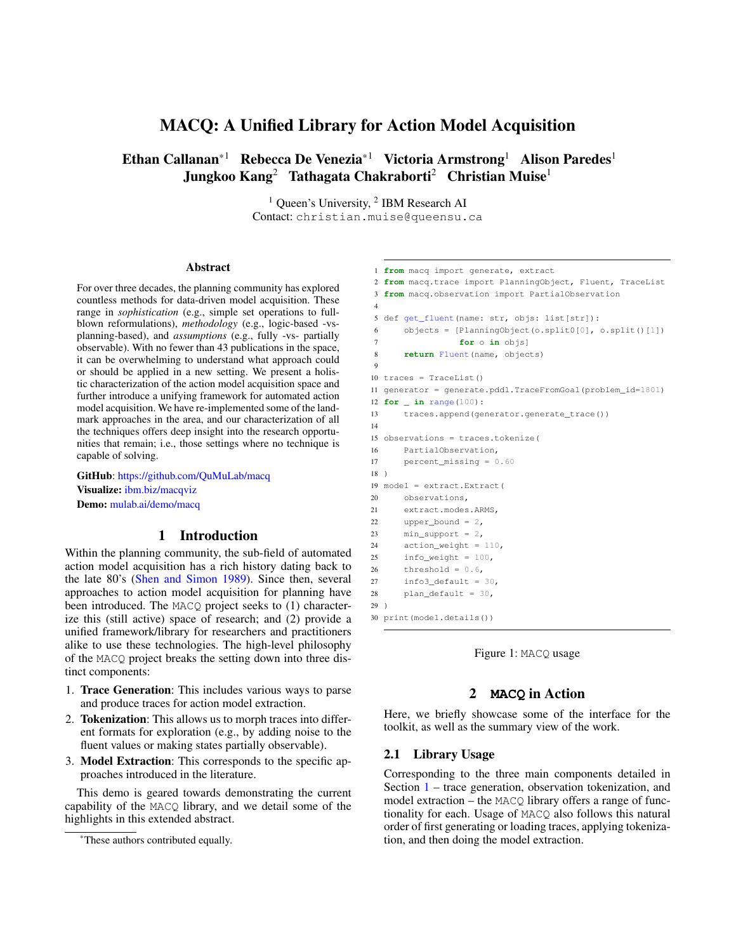# MACQ: A Unified Library for Action Model Acquisition

Ethan Callanan<sup>\*1</sup> Rebecca De Venezia<sup>\*1</sup> Victoria Armstrong<sup>1</sup> Alison Paredes<sup>1</sup> Jungkoo Kang<sup>2</sup> Tathagata Chakraborti<sup>2</sup> Christian Muise<sup>1</sup>

> <sup>1</sup> Queen's University, <sup>2</sup> IBM Research AI Contact: christian.muise@queensu.ca

#### Abstract

For over three decades, the planning community has explored countless methods for data-driven model acquisition. These range in *sophistication* (e.g., simple set operations to fullblown reformulations), *methodology* (e.g., logic-based -vsplanning-based), and *assumptions* (e.g., fully -vs- partially observable). With no fewer than 43 publications in the space, it can be overwhelming to understand what approach could or should be applied in a new setting. We present a holistic characterization of the action model acquisition space and further introduce a unifying framework for automated action model acquisition. We have re-implemented some of the landmark approaches in the area, and our characterization of all the techniques offers deep insight into the research opportunities that remain; i.e., those settings where no technique is capable of solving.

GitHub: <https://github.com/QuMuLab/macq> Visualize: [ibm.biz/macqviz](http://ibm.biz/macqviz) Demo: [mulab.ai/demo/macq](http://mulab.ai/demo/macq)

### 1 Introduction

<span id="page-0-0"></span>Within the planning community, the sub-field of automated action model acquisition has a rich history dating back to the late 80's [\(Shen and Simon](#page-2-0) [1989\)](#page-2-0). Since then, several approaches to action model acquisition for planning have been introduced. The MACQ project seeks to (1) characterize this (still active) space of research; and (2) provide a unified framework/library for researchers and practitioners alike to use these technologies. The high-level philosophy of the MACQ project breaks the setting down into three distinct components:

- 1. Trace Generation: This includes various ways to parse and produce traces for action model extraction.
- 2. Tokenization: This allows us to morph traces into different formats for exploration (e.g., by adding noise to the fluent values or making states partially observable).
- 3. Model Extraction: This corresponds to the specific approaches introduced in the literature.

This demo is geared towards demonstrating the current capability of the MACQ library, and we detail some of the highlights in this extended abstract.

```
1 from macq import generate, extract
2 from macq.trace import PlanningObject, Fluent, TraceList
3 from macq.observation import PartialObservation
4
5 def get fluent(name: str, objs: list[str]):
6 objects = [PlanningObject(o.split0[0], o.split()[1])
7 for o in objs]
8 return Fluent(name, objects)
9
10 traces = TraceList()
11 generator = generate.pddl.TraceFromGoal(problem_id=1801)
12 for _ in range(100):
13 traces.append(generator.generate_trace())
14
15 observations = traces.tokenize(
16 PartialObservation,
17 percent missing = 0.6018 )
19 model = extract.Extract(
20 observations,
21 extract.modes.ARMS,
22 upper bound = 2,
23 min\_support = 2,24 action weight = 110,
25 info_weight = 100,
26 threshold = 0.6,
27 info3_default = 30,
28 plan default = 30,
29 )
30 print(model.details())
```


## 2 **MACQ** in Action

Here, we briefly showcase some of the interface for the toolkit, as well as the summary view of the work.

#### 2.1 Library Usage

Corresponding to the three main components detailed in Section [1](#page-0-0) – trace generation, observation tokenization, and model extraction – the MACQ library offers a range of functionality for each. Usage of MACQ also follows this natural order of first generating or loading traces, applying tokenization, and then doing the model extraction.

<sup>\*</sup>These authors contributed equally.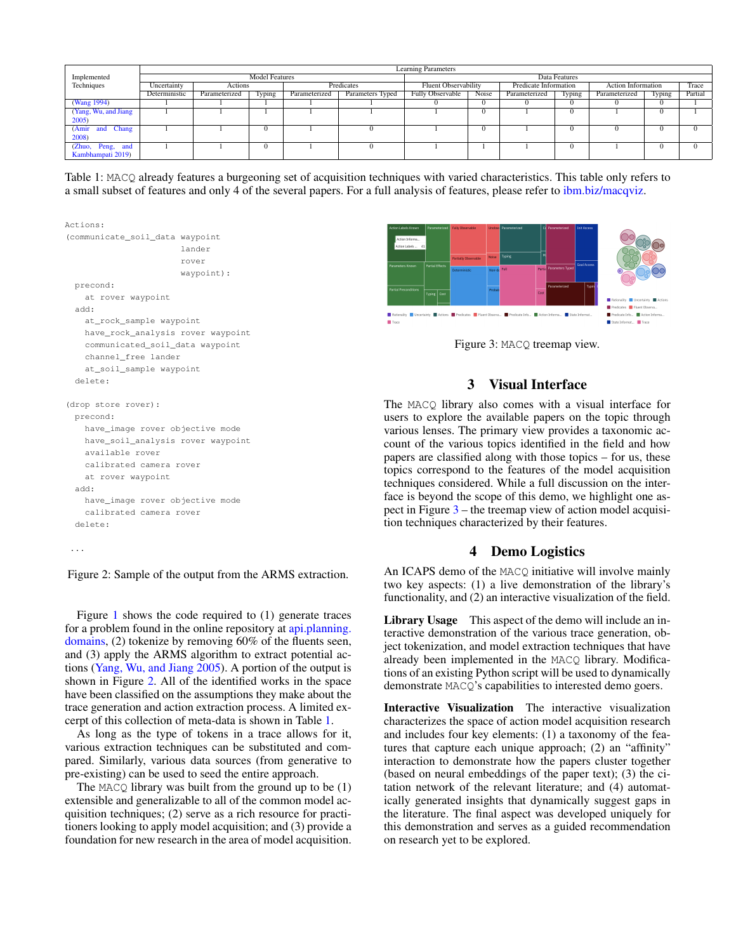<span id="page-1-1"></span>

|                               | <b>Learning Parameters</b> |               |          |               |                  |                             |          |                       |            |                           |        |         |
|-------------------------------|----------------------------|---------------|----------|---------------|------------------|-----------------------------|----------|-----------------------|------------|---------------------------|--------|---------|
| Implemented                   | <b>Model Features</b>      |               |          |               |                  | Data Features               |          |                       |            |                           |        |         |
| Techniques                    | Uncertainty                | Actions       |          | Predicates    |                  | <b>Fluent Observability</b> |          | Predicate Information |            | <b>Action Information</b> |        | Trace   |
|                               | Deterministic              | Parameterized | Iyping   | Parameterized | Parameters Typed | <b>Fully Observable</b>     | Noise    | Parameterized         | Typing     | Parameterized             | Typing | Partial |
| (Wang 1994)                   |                            |               |          |               |                  |                             | $\Omega$ | $\theta$              | $\Omega$   |                           | 0      |         |
| (Yang, Wu, and Jiang)         |                            |               |          |               |                  |                             | $\Omega$ |                       | $\Omega$   |                           |        |         |
| $2005$ )                      |                            |               |          |               |                  |                             |          |                       |            |                           |        |         |
| <b>Chang</b><br>(Amir)<br>and |                            |               | $\Omega$ |               |                  |                             | $\Omega$ |                       | $^{\circ}$ |                           | -0     |         |
| 2008)                         |                            |               |          |               |                  |                             |          |                       |            |                           |        |         |
| (Zhuo, Peng, and              |                            |               | $\Omega$ |               |                  |                             |          |                       | $\Omega$   |                           | -0     |         |
| Kambhampati 2019)             |                            |               |          |               |                  |                             |          |                       |            |                           |        |         |

Table 1: MACQ already features a burgeoning set of acquisition techniques with varied characteristics. This table only refers to a small subset of features and only 4 of the several papers. For a full analysis of features, please refer to [ibm.biz/macqviz.](http://ibm.biz/macqviz)

<span id="page-1-0"></span>

Figure 2: Sample of the output from the ARMS extraction.

Figure [1](#page-0-1) shows the code required to (1) generate traces for a problem found in the online repository at [api.planning.](api.planning.domains) [domains,](api.planning.domains) (2) tokenize by removing 60% of the fluents seen, and (3) apply the ARMS algorithm to extract potential actions [\(Yang, Wu, and Jiang](#page-2-2) [2005\)](#page-2-2). A portion of the output is shown in Figure [2.](#page-1-0) All of the identified works in the space have been classified on the assumptions they make about the trace generation and action extraction process. A limited excerpt of this collection of meta-data is shown in Table [1.](#page-1-1)

As long as the type of tokens in a trace allows for it, various extraction techniques can be substituted and compared. Similarly, various data sources (from generative to pre-existing) can be used to seed the entire approach.

The MACQ library was built from the ground up to be  $(1)$ extensible and generalizable to all of the common model acquisition techniques; (2) serve as a rich resource for practitioners looking to apply model acquisition; and (3) provide a foundation for new research in the area of model acquisition.

<span id="page-1-2"></span>

Figure 3: MACQ treemap view.

# 3 Visual Interface

The MACQ library also comes with a visual interface for users to explore the available papers on the topic through various lenses. The primary view provides a taxonomic account of the various topics identified in the field and how papers are classified along with those topics – for us, these topics correspond to the features of the model acquisition techniques considered. While a full discussion on the interface is beyond the scope of this demo, we highlight one aspect in Figure [3](#page-1-2) – the treemap view of action model acquisition techniques characterized by their features.

#### 4 Demo Logistics

An ICAPS demo of the MACQ initiative will involve mainly two key aspects: (1) a live demonstration of the library's functionality, and (2) an interactive visualization of the field.

Library Usage This aspect of the demo will include an interactive demonstration of the various trace generation, object tokenization, and model extraction techniques that have already been implemented in the MACQ library. Modifications of an existing Python script will be used to dynamically demonstrate MACQ's capabilities to interested demo goers.

Interactive Visualization The interactive visualization characterizes the space of action model acquisition research and includes four key elements: (1) a taxonomy of the features that capture each unique approach; (2) an "affinity" interaction to demonstrate how the papers cluster together (based on neural embeddings of the paper text); (3) the citation network of the relevant literature; and (4) automatically generated insights that dynamically suggest gaps in the literature. The final aspect was developed uniquely for this demonstration and serves as a guided recommendation on research yet to be explored.